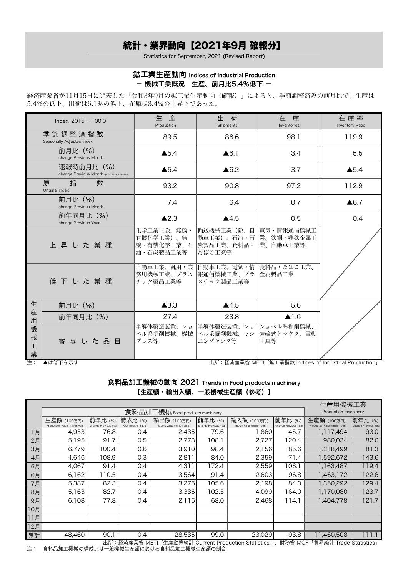## 統計・業界動向[2021年9月 確報分]

Statistics for September, 2021 (Revised Report)

## 鉱工業生産動向 Indices of Industrial Production - 機械工業概況 生産、前月比5.4%低下 -

経済産業省が11月15日に発表した「令和3年9月の鉱工業生産動向(確報)」によると、季節調整済みの前月比で、生産は 5.4%の低下、出荷は6.1%の低下、在庫は3.4%の上昇下であった。

|                  | Index, $2015 = 100.0$                                    | 生<br>産<br>Production                                 | 出<br>荷<br>Shipments                              | 在 庫<br>Inventories                     | 在庫率<br>Inventory Ratio |
|------------------|----------------------------------------------------------|------------------------------------------------------|--------------------------------------------------|----------------------------------------|------------------------|
|                  | 季節調整済指数<br>Seasonally Adjusted Index                     | 89.5                                                 | 86.6                                             | 98.1                                   | 119.9                  |
|                  | 前月比 (%)<br>change Previous Month                         | $\triangle$ 5.4                                      | $\triangle 6.1$                                  | 3.4                                    | 5.5                    |
|                  | 速報時前月比 (%)<br>change Previous Month (preliminary report) | $\triangle$ 5.4                                      | $\triangle 6.2$                                  | 3.7                                    | $\triangle$ 5.4        |
|                  | 数<br>原<br>指<br>Original Index                            | 93.2                                                 | 90.8                                             | 97.2                                   | 112.9                  |
|                  | 前月比(%)<br>change Previous Month                          | 7.4                                                  | 6.4                                              | 0.7                                    | $\triangle 6.7$        |
|                  | 前年同月比 (%)<br>change Previous Year                        | $\triangle$ 2.3                                      | $\blacktriangle$ 4.5                             | 0.5                                    | 0.4                    |
|                  | 上昇した業種                                                   | 化学工業 (除. 無機・<br>有機化学工業)、無<br>機・有機化学工業、石<br>油・石炭製品工業等 | 輸送機械工業(除.自<br>動車工業)、石油・石<br>炭製品工業、食料品・<br>たばこ工業等 | 電気・情報通信機械工<br> 業、鉄鋼・非鉄金属工<br> 業、自動車工業等 |                        |
|                  | 低下した業種                                                   | 自動車工業、汎用・業 自動車工業、電気・情<br>務用機械工業、プラス<br>チック製品工業等      | 報通信機械工業、プラ<br>スチック製品工業等                          | 食料品・たばこ工業、<br> 金属製品工業                  |                        |
| 生                | 前月比 (%)                                                  | $\blacktriangle$ 3.3                                 | $\blacktriangle$ 4.5                             | 5.6                                    |                        |
| 産<br>用           | 前年同月比 (%)                                                | 27.4                                                 | 23.8                                             | $\blacktriangle$ 1.6                   |                        |
| 機<br>械<br>工<br>業 | 寄与した品目                                                   | 半導体製造装置、ショ<br>ベル系掘削機械、機械<br>プレス等                     | 半導体製造装置、ショ<br> ベル系掘削機械、マシ <br>ニングセンタ等            | ショベル系掘削機械、<br> 装輪式トラクタ、電動<br>工具等       |                        |

注: ▲は低下を示す 出所:経済産業省 METI「鉱工業指数 Indices of Industrial Production」

食料品加工機械の動向 2021 Trends in Food products machinery [生産額・輸出入額、一般機械生産額(参考)]

| 食料品加工機械 Food products machinery<br>Production machinery<br>前年比(%)<br>前年比(%)<br>生産額 (100万円)<br>前年比(%)<br>構成比 (%)<br>前年比 (%)<br>輸入額 (100万円)<br>生産額 (100万円)<br>輸出額 (100万円)<br>Composition ratio<br>Export value (million yen)<br>Production value (million yen)<br>change Previous Year<br>change Previous Year<br>Import value (million yen)<br>change Previous Year<br>Production value (million yen)<br>change Previous Year<br>76.8<br>4,953<br>2,435<br>79.6<br>1,860<br>45.7<br>0.4<br>93.0<br>1,117,494<br>1月<br>2月<br>5,195<br>91.7<br>980,034<br>82.0<br>0.5<br>2.778<br>108.1<br>2,727<br>120.4<br>3月<br>81.3<br>6,779<br>100.4<br>0.6<br>3,910<br>98.4<br>2,156<br>85.6<br>1,218,499<br>0.3<br>4月<br>108.9<br>2,359<br>1,592,672<br>143.6<br>4,646<br>2,811<br>71.4<br>84.0<br>4,067<br>91.4<br>4,311<br>106.<br>119.4<br>5月<br>0.4<br>172.4<br>2,559<br>1,163,487<br>91.4<br>2,603<br>96.8<br>122.6<br>6月<br>6,162<br>110.5<br>3,564<br>1,463,172<br>0.4<br>82.3<br>7月<br>5,387<br>3,275<br>2,198<br>84.0<br>1,350,292<br>129.4<br>0.4<br>105.6<br>8月<br>3,336<br>4,099<br>123.7<br>5,163<br>82.7<br>102.5<br>1,170,080<br>0.4<br>164.0<br>121.7<br>6,108<br>77.8<br>0.4<br>68.0<br>2,468<br>1,404,778<br>9月<br>2,115<br>114.1<br>10月<br>11月<br>12月<br>累計<br>48,460<br>90.1<br>0.4<br>28,535<br>99.0<br>23,029<br>93.8<br>11,460,508<br>111.1 |  |  |  |  | 生産用機械工業 |  |
|--------------------------------------------------------------------------------------------------------------------------------------------------------------------------------------------------------------------------------------------------------------------------------------------------------------------------------------------------------------------------------------------------------------------------------------------------------------------------------------------------------------------------------------------------------------------------------------------------------------------------------------------------------------------------------------------------------------------------------------------------------------------------------------------------------------------------------------------------------------------------------------------------------------------------------------------------------------------------------------------------------------------------------------------------------------------------------------------------------------------------------------------------------------------------------------------------------------------------------------------------------------------------------------------------------------------------------------------------------|--|--|--|--|---------|--|
|                                                                                                                                                                                                                                                                                                                                                                                                                                                                                                                                                                                                                                                                                                                                                                                                                                                                                                                                                                                                                                                                                                                                                                                                                                                                                                                                                        |  |  |  |  |         |  |
|                                                                                                                                                                                                                                                                                                                                                                                                                                                                                                                                                                                                                                                                                                                                                                                                                                                                                                                                                                                                                                                                                                                                                                                                                                                                                                                                                        |  |  |  |  |         |  |
|                                                                                                                                                                                                                                                                                                                                                                                                                                                                                                                                                                                                                                                                                                                                                                                                                                                                                                                                                                                                                                                                                                                                                                                                                                                                                                                                                        |  |  |  |  |         |  |
|                                                                                                                                                                                                                                                                                                                                                                                                                                                                                                                                                                                                                                                                                                                                                                                                                                                                                                                                                                                                                                                                                                                                                                                                                                                                                                                                                        |  |  |  |  |         |  |
|                                                                                                                                                                                                                                                                                                                                                                                                                                                                                                                                                                                                                                                                                                                                                                                                                                                                                                                                                                                                                                                                                                                                                                                                                                                                                                                                                        |  |  |  |  |         |  |
|                                                                                                                                                                                                                                                                                                                                                                                                                                                                                                                                                                                                                                                                                                                                                                                                                                                                                                                                                                                                                                                                                                                                                                                                                                                                                                                                                        |  |  |  |  |         |  |
|                                                                                                                                                                                                                                                                                                                                                                                                                                                                                                                                                                                                                                                                                                                                                                                                                                                                                                                                                                                                                                                                                                                                                                                                                                                                                                                                                        |  |  |  |  |         |  |
|                                                                                                                                                                                                                                                                                                                                                                                                                                                                                                                                                                                                                                                                                                                                                                                                                                                                                                                                                                                                                                                                                                                                                                                                                                                                                                                                                        |  |  |  |  |         |  |
|                                                                                                                                                                                                                                                                                                                                                                                                                                                                                                                                                                                                                                                                                                                                                                                                                                                                                                                                                                                                                                                                                                                                                                                                                                                                                                                                                        |  |  |  |  |         |  |
|                                                                                                                                                                                                                                                                                                                                                                                                                                                                                                                                                                                                                                                                                                                                                                                                                                                                                                                                                                                                                                                                                                                                                                                                                                                                                                                                                        |  |  |  |  |         |  |
|                                                                                                                                                                                                                                                                                                                                                                                                                                                                                                                                                                                                                                                                                                                                                                                                                                                                                                                                                                                                                                                                                                                                                                                                                                                                                                                                                        |  |  |  |  |         |  |
|                                                                                                                                                                                                                                                                                                                                                                                                                                                                                                                                                                                                                                                                                                                                                                                                                                                                                                                                                                                                                                                                                                                                                                                                                                                                                                                                                        |  |  |  |  |         |  |
|                                                                                                                                                                                                                                                                                                                                                                                                                                                                                                                                                                                                                                                                                                                                                                                                                                                                                                                                                                                                                                                                                                                                                                                                                                                                                                                                                        |  |  |  |  |         |  |
|                                                                                                                                                                                                                                                                                                                                                                                                                                                                                                                                                                                                                                                                                                                                                                                                                                                                                                                                                                                                                                                                                                                                                                                                                                                                                                                                                        |  |  |  |  |         |  |
|                                                                                                                                                                                                                                                                                                                                                                                                                                                                                                                                                                                                                                                                                                                                                                                                                                                                                                                                                                                                                                                                                                                                                                                                                                                                                                                                                        |  |  |  |  |         |  |
|                                                                                                                                                                                                                                                                                                                                                                                                                                                                                                                                                                                                                                                                                                                                                                                                                                                                                                                                                                                                                                                                                                                                                                                                                                                                                                                                                        |  |  |  |  |         |  |

出所:経済産業省 METI「生産動態統計 Current Production Statistics」、財務省 MOF「貿易統計 Trade Statistics」 注: 食料品加工機械の構成比は一般機械生産額における食料品加工機械生産額の割合